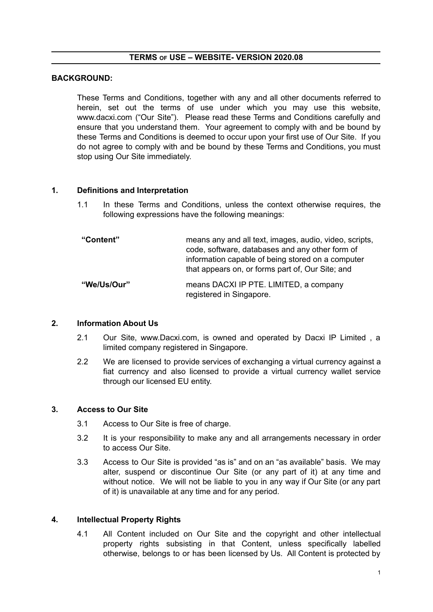### **TERMS OF USE – WEBSITE- VERSION 2020.08**

### **BACKGROUND:**

These Terms and Conditions, together with any and all other documents referred to herein, set out the terms of use under which you may use this website, www.dacxi.com ("Our Site"). Please read these Terms and Conditions carefully and ensure that you understand them. Your agreement to comply with and be bound by these Terms and Conditions is deemed to occur upon your first use of Our Site. If you do not agree to comply with and be bound by these Terms and Conditions, you must stop using Our Site immediately.

### **1. Definitions and Interpretation**

1.1 In these Terms and Conditions, unless the context otherwise requires, the following expressions have the following meanings:

| "Content"   | means any and all text, images, audio, video, scripts,<br>code, software, databases and any other form of<br>information capable of being stored on a computer<br>that appears on, or forms part of, Our Site; and |
|-------------|--------------------------------------------------------------------------------------------------------------------------------------------------------------------------------------------------------------------|
| "We/Us/Our" | means DACXI IP PTE. LIMITED, a company<br>registered in Singapore.                                                                                                                                                 |

#### **2. Information About Us**

- 2.1 Our Site, www.Dacxi.com, is owned and operated by Dacxi IP Limited , a limited company registered in Singapore.
- 2.2 We are licensed to provide services of exchanging a virtual currency against a fiat currency and also licensed to provide a virtual currency wallet service through our licensed EU entity.

#### **3. Access to Our Site**

- 3.1 Access to Our Site is free of charge.
- 3.2 It is your responsibility to make any and all arrangements necessary in order to access Our Site.
- 3.3 Access to Our Site is provided "as is" and on an "as available" basis. We may alter, suspend or discontinue Our Site (or any part of it) at any time and without notice. We will not be liable to you in any way if Our Site (or any part of it) is unavailable at any time and for any period.

#### **4. Intellectual Property Rights**

4.1 All Content included on Our Site and the copyright and other intellectual property rights subsisting in that Content, unless specifically labelled otherwise, belongs to or has been licensed by Us. All Content is protected by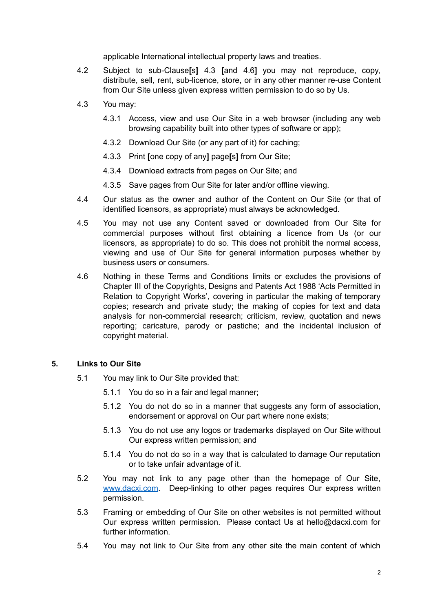applicable International intellectual property laws and treaties.

- 4.2 Subject to sub-Clause**[**s**]** 4.3 **[**and 4.6**]** you may not reproduce, copy, distribute, sell, rent, sub-licence, store, or in any other manner re-use Content from Our Site unless given express written permission to do so by Us.
- 4.3 You may:
	- 4.3.1 Access, view and use Our Site in a web browser (including any web browsing capability built into other types of software or app);
	- 4.3.2 Download Our Site (or any part of it) for caching;
	- 4.3.3 Print **[**one copy of any**]** page**[**s**]** from Our Site;
	- 4.3.4 Download extracts from pages on Our Site; and
	- 4.3.5 Save pages from Our Site for later and/or offline viewing.
- 4.4 Our status as the owner and author of the Content on Our Site (or that of identified licensors, as appropriate) must always be acknowledged.
- 4.5 You may not use any Content saved or downloaded from Our Site for commercial purposes without first obtaining a licence from Us (or our licensors, as appropriate) to do so. This does not prohibit the normal access, viewing and use of Our Site for general information purposes whether by business users or consumers.
- 4.6 Nothing in these Terms and Conditions limits or excludes the provisions of Chapter III of the Copyrights, Designs and Patents Act 1988 'Acts Permitted in Relation to Copyright Works', covering in particular the making of temporary copies; research and private study; the making of copies for text and data analysis for non-commercial research; criticism, review, quotation and news reporting; caricature, parody or pastiche; and the incidental inclusion of copyright material.

# **5. Links to Our Site**

- 5.1 You may link to Our Site provided that:
	- 5.1.1 You do so in a fair and legal manner;
	- 5.1.2 You do not do so in a manner that suggests any form of association, endorsement or approval on Our part where none exists;
	- 5.1.3 You do not use any logos or trademarks displayed on Our Site without Our express written permission; and
	- 5.1.4 You do not do so in a way that is calculated to damage Our reputation or to take unfair advantage of it.
- 5.2 You may not link to any page other than the homepage of Our Site, [www.dacxi.com.](http://www.dacxi.com) Deep-linking to other pages requires Our express written permission.
- 5.3 Framing or embedding of Our Site on other websites is not permitted without Our express written permission. Please contact Us at hello@dacxi.com for further information.
- 5.4 You may not link to Our Site from any other site the main content of which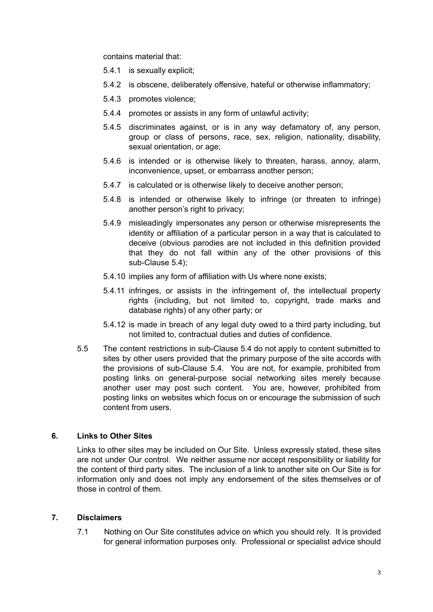contains material that:

- 5.4.1 is sexually explicit;
- 5.4.2 is obscene, deliberately offensive, hateful or otherwise inflammatory;
- 5.4.3 promotes violence;
- 5.4.4 promotes or assists in any form of unlawful activity;
- 5.4.5 discriminates against, or is in any way defamatory of, any person, group or class of persons, race, sex, religion, nationality, disability, sexual orientation, or age;
- 5.4.6 is intended or is otherwise likely to threaten, harass, annoy, alarm, inconvenience, upset, or embarrass another person;
- 5.4.7 is calculated or is otherwise likely to deceive another person;
- 5.4.8 is intended or otherwise likely to infringe (or threaten to infringe) another person's right to privacy;
- 5.4.9 misleadingly impersonates any person or otherwise misrepresents the identity or affiliation of a particular person in a way that is calculated to deceive (obvious parodies are not included in this definition provided that they do not fall within any of the other provisions of this sub-Clause 5.4);
- 5.4.10 implies any form of affiliation with Us where none exists;
- 5.4.11 infringes, or assists in the infringement of, the intellectual property rights (including, but not limited to, copyright, trade marks and database rights) of any other party; or
- 5.4.12 is made in breach of any legal duty owed to a third party including, but not limited to, contractual duties and duties of confidence.
- 5.5 The content restrictions in sub-Clause 5.4 do not apply to content submitted to sites by other users provided that the primary purpose of the site accords with the provisions of sub-Clause 5.4. You are not, for example, prohibited from posting links on general-purpose social networking sites merely because another user may post such content. You are, however, prohibited from posting links on websites which focus on or encourage the submission of such content from users.

### **6. Links to Other Sites**

Links to other sites may be included on Our Site. Unless expressly stated, these sites are not under Our control. We neither assume nor accept responsibility or liability for the content of third party sites. The inclusion of a link to another site on Our Site is for information only and does not imply any endorsement of the sites themselves or of those in control of them.

### **7. Disclaimers**

7.1 Nothing on Our Site constitutes advice on which you should rely. It is provided for general information purposes only. Professional or specialist advice should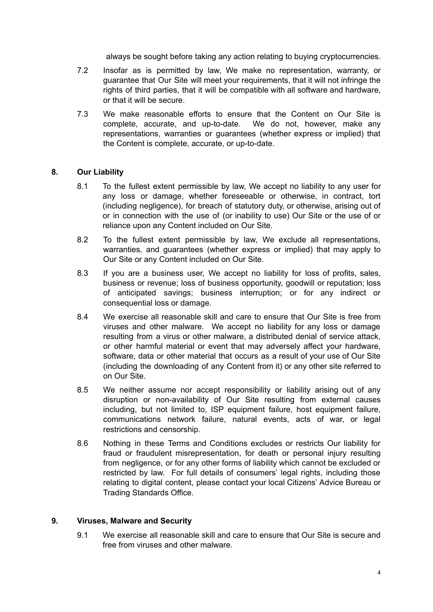always be sought before taking any action relating to buying cryptocurrencies.

- 7.2 Insofar as is permitted by law, We make no representation, warranty, or guarantee that Our Site will meet your requirements, that it will not infringe the rights of third parties, that it will be compatible with all software and hardware, or that it will be secure.
- 7.3 We make reasonable efforts to ensure that the Content on Our Site is complete, accurate, and up-to-date. We do not, however, make any representations, warranties or guarantees (whether express or implied) that the Content is complete, accurate, or up-to-date.

### **8. Our Liability**

- 8.1 To the fullest extent permissible by law, We accept no liability to any user for any loss or damage, whether foreseeable or otherwise, in contract, tort (including negligence), for breach of statutory duty, or otherwise, arising out of or in connection with the use of (or inability to use) Our Site or the use of or reliance upon any Content included on Our Site.
- 8.2 To the fullest extent permissible by law, We exclude all representations, warranties, and guarantees (whether express or implied) that may apply to Our Site or any Content included on Our Site.
- 8.3 If you are a business user, We accept no liability for loss of profits, sales, business or revenue; loss of business opportunity, goodwill or reputation; loss of anticipated savings; business interruption; or for any indirect or consequential loss or damage.
- 8.4 We exercise all reasonable skill and care to ensure that Our Site is free from viruses and other malware. We accept no liability for any loss or damage resulting from a virus or other malware, a distributed denial of service attack, or other harmful material or event that may adversely affect your hardware, software, data or other material that occurs as a result of your use of Our Site (including the downloading of any Content from it) or any other site referred to on Our Site.
- 8.5 We neither assume nor accept responsibility or liability arising out of any disruption or non-availability of Our Site resulting from external causes including, but not limited to, ISP equipment failure, host equipment failure, communications network failure, natural events, acts of war, or legal restrictions and censorship.
- 8.6 Nothing in these Terms and Conditions excludes or restricts Our liability for fraud or fraudulent misrepresentation, for death or personal injury resulting from negligence, or for any other forms of liability which cannot be excluded or restricted by law. For full details of consumers' legal rights, including those relating to digital content, please contact your local Citizens' Advice Bureau or Trading Standards Office.

### **9. Viruses, Malware and Security**

9.1 We exercise all reasonable skill and care to ensure that Our Site is secure and free from viruses and other malware.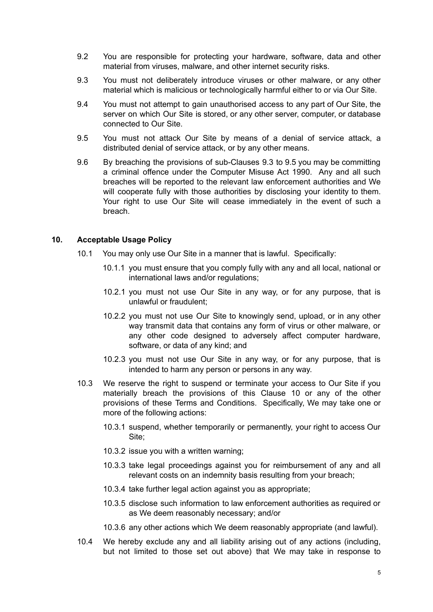- 9.2 You are responsible for protecting your hardware, software, data and other material from viruses, malware, and other internet security risks.
- 9.3 You must not deliberately introduce viruses or other malware, or any other material which is malicious or technologically harmful either to or via Our Site.
- 9.4 You must not attempt to gain unauthorised access to any part of Our Site, the server on which Our Site is stored, or any other server, computer, or database connected to Our Site.
- 9.5 You must not attack Our Site by means of a denial of service attack, a distributed denial of service attack, or by any other means.
- 9.6 By breaching the provisions of sub-Clauses 9.3 to 9.5 you may be committing a criminal offence under the Computer Misuse Act 1990. Any and all such breaches will be reported to the relevant law enforcement authorities and We will cooperate fully with those authorities by disclosing your identity to them. Your right to use Our Site will cease immediately in the event of such a breach.

#### **10. Acceptable Usage Policy**

- 10.1 You may only use Our Site in a manner that is lawful. Specifically:
	- 10.1.1 you must ensure that you comply fully with any and all local, national or international laws and/or regulations;
	- 10.2.1 you must not use Our Site in any way, or for any purpose, that is unlawful or fraudulent;
	- 10.2.2 you must not use Our Site to knowingly send, upload, or in any other way transmit data that contains any form of virus or other malware, or any other code designed to adversely affect computer hardware, software, or data of any kind; and
	- 10.2.3 you must not use Our Site in any way, or for any purpose, that is intended to harm any person or persons in any way.
- 10.3 We reserve the right to suspend or terminate your access to Our Site if you materially breach the provisions of this Clause 10 or any of the other provisions of these Terms and Conditions. Specifically, We may take one or more of the following actions:
	- 10.3.1 suspend, whether temporarily or permanently, your right to access Our Site;
	- 10.3.2 issue you with a written warning;
	- 10.3.3 take legal proceedings against you for reimbursement of any and all relevant costs on an indemnity basis resulting from your breach;
	- 10.3.4 take further legal action against you as appropriate;
	- 10.3.5 disclose such information to law enforcement authorities as required or as We deem reasonably necessary; and/or
	- 10.3.6 any other actions which We deem reasonably appropriate (and lawful).
- 10.4 We hereby exclude any and all liability arising out of any actions (including, but not limited to those set out above) that We may take in response to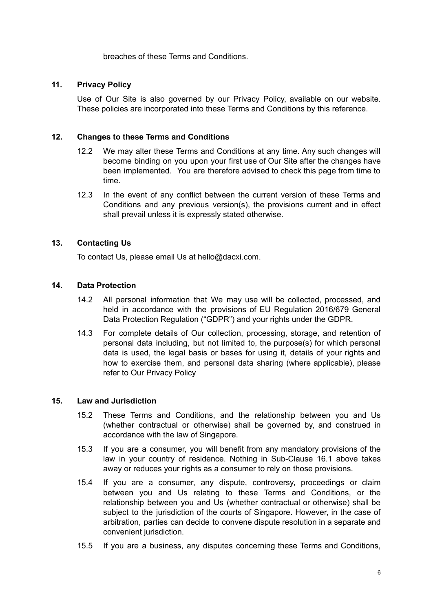breaches of these Terms and Conditions.

# **11. Privacy Policy**

Use of Our Site is also governed by our Privacy Policy, available on our website. These policies are incorporated into these Terms and Conditions by this reference.

# **12. Changes to these Terms and Conditions**

- 12.2 We may alter these Terms and Conditions at any time. Any such changes will become binding on you upon your first use of Our Site after the changes have been implemented. You are therefore advised to check this page from time to time.
- 12.3 In the event of any conflict between the current version of these Terms and Conditions and any previous version(s), the provisions current and in effect shall prevail unless it is expressly stated otherwise.

# **13. Contacting Us**

To contact Us, please email Us at hello@dacxi.com.

# **14. Data Protection**

- 14.2 All personal information that We may use will be collected, processed, and held in accordance with the provisions of EU Regulation 2016/679 General Data Protection Regulation ("GDPR") and your rights under the GDPR.
- 14.3 For complete details of Our collection, processing, storage, and retention of personal data including, but not limited to, the purpose(s) for which personal data is used, the legal basis or bases for using it, details of your rights and how to exercise them, and personal data sharing (where applicable), please refer to Our Privacy Policy

### **15. Law and Jurisdiction**

- 15.2 These Terms and Conditions, and the relationship between you and Us (whether contractual or otherwise) shall be governed by, and construed in accordance with the law of Singapore.
- 15.3 If you are a consumer, you will benefit from any mandatory provisions of the law in your country of residence. Nothing in Sub-Clause 16.1 above takes away or reduces your rights as a consumer to rely on those provisions.
- 15.4 If you are a consumer, any dispute, controversy, proceedings or claim between you and Us relating to these Terms and Conditions, or the relationship between you and Us (whether contractual or otherwise) shall be subject to the jurisdiction of the courts of Singapore. However, in the case of arbitration, parties can decide to convene dispute resolution in a separate and convenient jurisdiction.
- 15.5 If you are a business, any disputes concerning these Terms and Conditions,